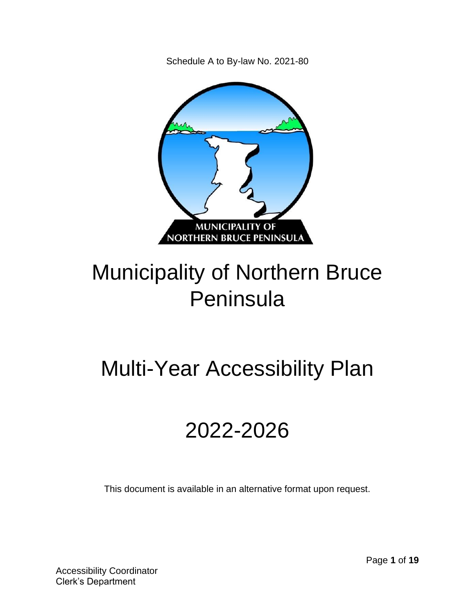Schedule A to By-law No. 2021-80



# Municipality of Northern Bruce Peninsula

# Multi-Year Accessibility Plan

# 2022-2026

This document is available in an alternative format upon request.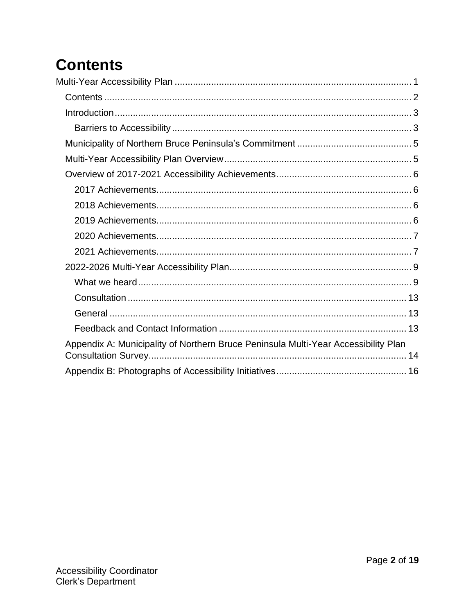## **Contents**

| Appendix A: Municipality of Northern Bruce Peninsula Multi-Year Accessibility Plan |
|------------------------------------------------------------------------------------|
|                                                                                    |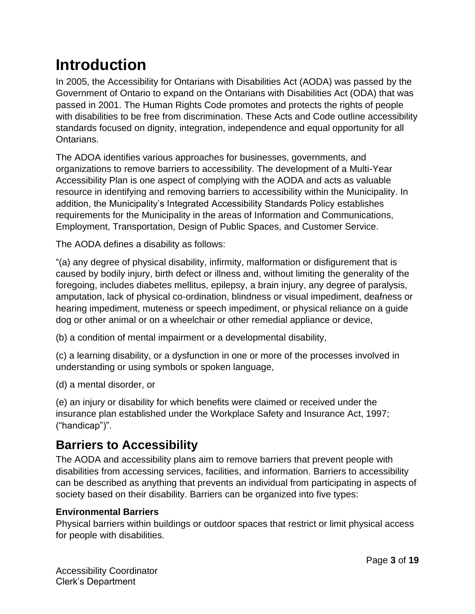## **Introduction**

In 2005, the Accessibility for Ontarians with Disabilities Act (AODA) was passed by the Government of Ontario to expand on the Ontarians with Disabilities Act (ODA) that was passed in 2001. The Human Rights Code promotes and protects the rights of people with disabilities to be free from discrimination. These Acts and Code outline accessibility standards focused on dignity, integration, independence and equal opportunity for all Ontarians.

The ADOA identifies various approaches for businesses, governments, and organizations to remove barriers to accessibility. The development of a Multi-Year Accessibility Plan is one aspect of complying with the AODA and acts as valuable resource in identifying and removing barriers to accessibility within the Municipality. In addition, the Municipality's Integrated Accessibility Standards Policy establishes requirements for the Municipality in the areas of Information and Communications, Employment, Transportation, Design of Public Spaces, and Customer Service.

The AODA defines a disability as follows:

"(a) any degree of physical disability, infirmity, malformation or disfigurement that is caused by bodily injury, birth defect or illness and, without limiting the generality of the foregoing, includes diabetes mellitus, epilepsy, a brain injury, any degree of paralysis, amputation, lack of physical co-ordination, blindness or visual impediment, deafness or hearing impediment, muteness or speech impediment, or physical reliance on a guide dog or other animal or on a wheelchair or other remedial appliance or device,

(b) a condition of mental impairment or a developmental disability,

(c) a learning disability, or a dysfunction in one or more of the processes involved in understanding or using symbols or spoken language,

(d) a mental disorder, or

(e) an injury or disability for which benefits were claimed or received under the insurance plan established under the Workplace Safety and Insurance Act, 1997; ("handicap")".

### **Barriers to Accessibility**

The AODA and accessibility plans aim to remove barriers that prevent people with disabilities from accessing services, facilities, and information. Barriers to accessibility can be described as anything that prevents an individual from participating in aspects of society based on their disability. Barriers can be organized into five types:

#### **Environmental Barriers**

Physical barriers within buildings or outdoor spaces that restrict or limit physical access for people with disabilities.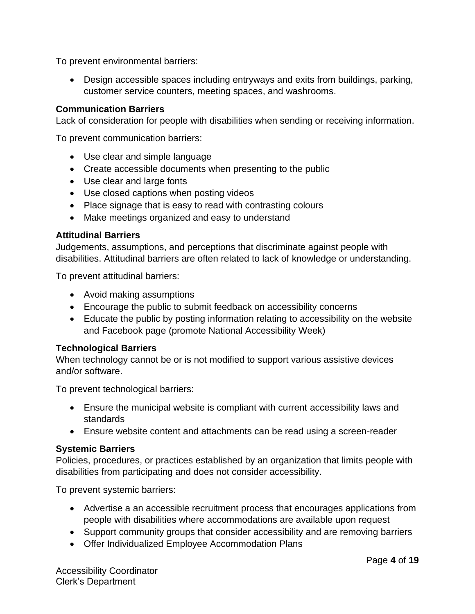To prevent environmental barriers:

• Design accessible spaces including entryways and exits from buildings, parking, customer service counters, meeting spaces, and washrooms.

#### **Communication Barriers**

Lack of consideration for people with disabilities when sending or receiving information.

To prevent communication barriers:

- Use clear and simple language
- Create accessible documents when presenting to the public
- Use clear and large fonts
- Use closed captions when posting videos
- Place signage that is easy to read with contrasting colours
- Make meetings organized and easy to understand

#### **Attitudinal Barriers**

Judgements, assumptions, and perceptions that discriminate against people with disabilities. Attitudinal barriers are often related to lack of knowledge or understanding.

To prevent attitudinal barriers:

- Avoid making assumptions
- Encourage the public to submit feedback on accessibility concerns
- Educate the public by posting information relating to accessibility on the website and Facebook page (promote National Accessibility Week)

#### **Technological Barriers**

When technology cannot be or is not modified to support various assistive devices and/or software.

To prevent technological barriers:

- Ensure the municipal website is compliant with current accessibility laws and standards
- Ensure website content and attachments can be read using a screen-reader

#### **Systemic Barriers**

Policies, procedures, or practices established by an organization that limits people with disabilities from participating and does not consider accessibility.

To prevent systemic barriers:

- Advertise a an accessible recruitment process that encourages applications from people with disabilities where accommodations are available upon request
- Support community groups that consider accessibility and are removing barriers
- Offer Individualized Employee Accommodation Plans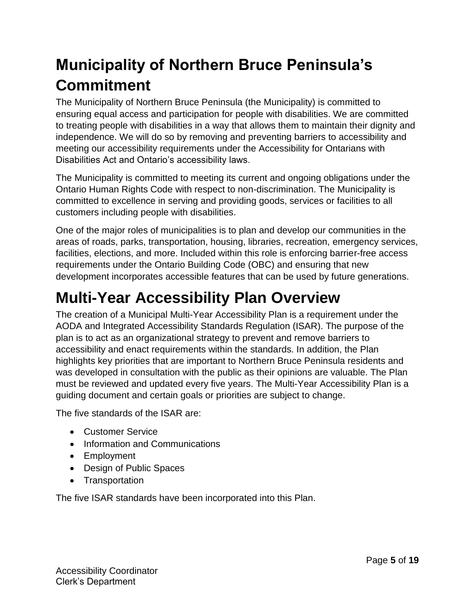## **Municipality of Northern Bruce Peninsula's Commitment**

The Municipality of Northern Bruce Peninsula (the Municipality) is committed to ensuring equal access and participation for people with disabilities. We are committed to treating people with disabilities in a way that allows them to maintain their dignity and independence. We will do so by removing and preventing barriers to accessibility and meeting our accessibility requirements under the Accessibility for Ontarians with Disabilities Act and Ontario's accessibility laws.

The Municipality is committed to meeting its current and ongoing obligations under the Ontario Human Rights Code with respect to non-discrimination. The Municipality is committed to excellence in serving and providing goods, services or facilities to all customers including people with disabilities.

One of the major roles of municipalities is to plan and develop our communities in the areas of roads, parks, transportation, housing, libraries, recreation, emergency services, facilities, elections, and more. Included within this role is enforcing barrier-free access requirements under the Ontario Building Code (OBC) and ensuring that new development incorporates accessible features that can be used by future generations.

## **Multi-Year Accessibility Plan Overview**

The creation of a Municipal Multi-Year Accessibility Plan is a requirement under the AODA and Integrated Accessibility Standards Regulation (ISAR). The purpose of the plan is to act as an organizational strategy to prevent and remove barriers to accessibility and enact requirements within the standards. In addition, the Plan highlights key priorities that are important to Northern Bruce Peninsula residents and was developed in consultation with the public as their opinions are valuable. The Plan must be reviewed and updated every five years. The Multi-Year Accessibility Plan is a guiding document and certain goals or priorities are subject to change.

The five standards of the ISAR are:

- Customer Service
- Information and Communications
- Employment
- Design of Public Spaces
- Transportation

The five ISAR standards have been incorporated into this Plan.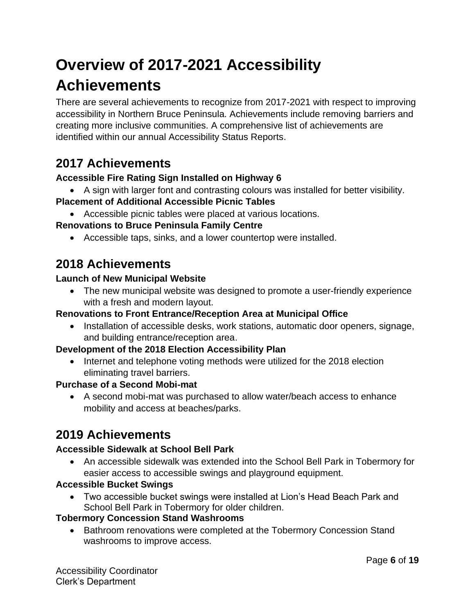## **Overview of 2017-2021 Accessibility Achievements**

There are several achievements to recognize from 2017-2021 with respect to improving accessibility in Northern Bruce Peninsula. Achievements include removing barriers and creating more inclusive communities. A comprehensive list of achievements are identified within our annual Accessibility Status Reports.

### **2017 Achievements**

#### **Accessible Fire Rating Sign Installed on Highway 6**

• A sign with larger font and contrasting colours was installed for better visibility.

#### **Placement of Additional Accessible Picnic Tables**

• Accessible picnic tables were placed at various locations.

#### **Renovations to Bruce Peninsula Family Centre**

• Accessible taps, sinks, and a lower countertop were installed.

### **2018 Achievements**

#### **Launch of New Municipal Website**

• The new municipal website was designed to promote a user-friendly experience with a fresh and modern layout.

#### **Renovations to Front Entrance/Reception Area at Municipal Office**

• Installation of accessible desks, work stations, automatic door openers, signage, and building entrance/reception area.

#### **Development of the 2018 Election Accessibility Plan**

• Internet and telephone voting methods were utilized for the 2018 election eliminating travel barriers.

#### **Purchase of a Second Mobi-mat**

• A second mobi-mat was purchased to allow water/beach access to enhance mobility and access at beaches/parks.

### **2019 Achievements**

#### **Accessible Sidewalk at School Bell Park**

• An accessible sidewalk was extended into the School Bell Park in Tobermory for easier access to accessible swings and playground equipment.

#### **Accessible Bucket Swings**

• Two accessible bucket swings were installed at Lion's Head Beach Park and School Bell Park in Tobermory for older children.

#### **Tobermory Concession Stand Washrooms**

• Bathroom renovations were completed at the Tobermory Concession Stand washrooms to improve access.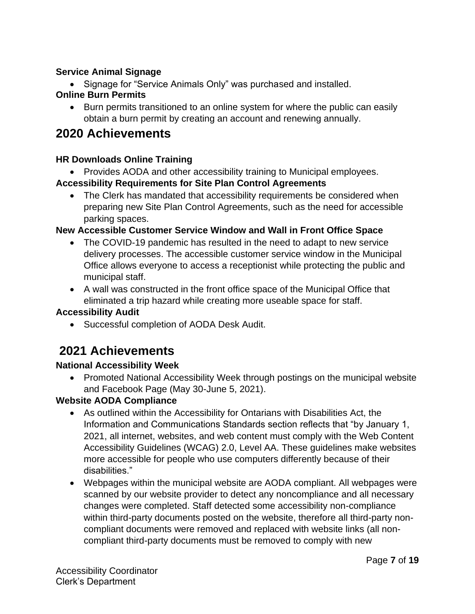#### **Service Animal Signage**

• Signage for "Service Animals Only" was purchased and installed.

#### **Online Burn Permits**

• Burn permits transitioned to an online system for where the public can easily obtain a burn permit by creating an account and renewing annually.

### **2020 Achievements**

#### **HR Downloads Online Training**

• Provides AODA and other accessibility training to Municipal employees.

#### **Accessibility Requirements for Site Plan Control Agreements**

• The Clerk has mandated that accessibility requirements be considered when preparing new Site Plan Control Agreements, such as the need for accessible parking spaces.

#### **New Accessible Customer Service Window and Wall in Front Office Space**

- The COVID-19 pandemic has resulted in the need to adapt to new service delivery processes. The accessible customer service window in the Municipal Office allows everyone to access a receptionist while protecting the public and municipal staff.
- A wall was constructed in the front office space of the Municipal Office that eliminated a trip hazard while creating more useable space for staff.

#### **Accessibility Audit**

• Successful completion of AODA Desk Audit.

### **2021 Achievements**

#### **National Accessibility Week**

• Promoted National Accessibility Week through postings on the municipal website and Facebook Page (May 30-June 5, 2021).

#### **Website AODA Compliance**

- As outlined within the Accessibility for Ontarians with Disabilities Act, the Information and Communications Standards section reflects that "by January 1, 2021, all internet, websites, and web content must comply with the Web Content Accessibility Guidelines (WCAG) 2.0, Level AA. These guidelines make websites more accessible for people who use computers differently because of their disabilities."
- Webpages within the municipal website are AODA compliant. All webpages were scanned by our website provider to detect any noncompliance and all necessary changes were completed. Staff detected some accessibility non-compliance within third-party documents posted on the website, therefore all third-party noncompliant documents were removed and replaced with website links (all noncompliant third-party documents must be removed to comply with new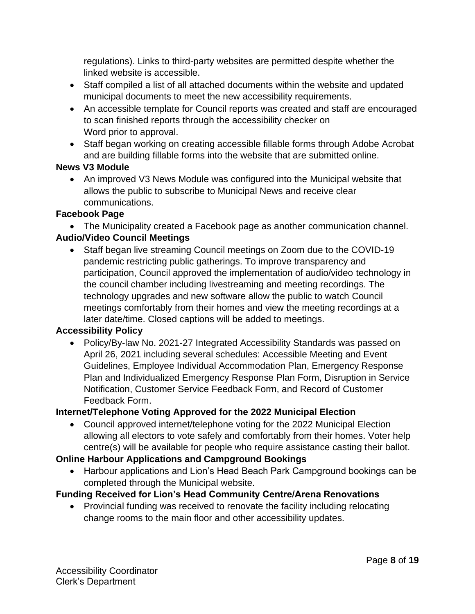regulations). Links to third-party websites are permitted despite whether the linked website is accessible.

- Staff compiled a list of all attached documents within the website and updated municipal documents to meet the new accessibility requirements.
- An accessible template for Council reports was created and staff are encouraged to scan finished reports through the accessibility checker on Word prior to approval.
- Staff began working on creating accessible fillable forms through Adobe Acrobat and are building fillable forms into the website that are submitted online.

#### **News V3 Module**

• An improved V3 News Module was configured into the Municipal website that allows the public to subscribe to Municipal News and receive clear communications.

#### **Facebook Page**

• The Municipality created a Facebook page as another communication channel.

#### **Audio/Video Council Meetings**

• Staff began live streaming Council meetings on Zoom due to the COVID-19 pandemic restricting public gatherings. To improve transparency and participation, Council approved the implementation of audio/video technology in the council chamber including livestreaming and meeting recordings. The technology upgrades and new software allow the public to watch Council meetings comfortably from their homes and view the meeting recordings at a later date/time. Closed captions will be added to meetings.

#### **Accessibility Policy**

• Policy/By-law No. 2021-27 Integrated Accessibility Standards was passed on April 26, 2021 including several schedules: Accessible Meeting and Event Guidelines, Employee Individual Accommodation Plan, Emergency Response Plan and Individualized Emergency Response Plan Form, Disruption in Service Notification, Customer Service Feedback Form, and Record of Customer Feedback Form.

#### **Internet/Telephone Voting Approved for the 2022 Municipal Election**

• Council approved internet/telephone voting for the 2022 Municipal Election allowing all electors to vote safely and comfortably from their homes. Voter help centre(s) will be available for people who require assistance casting their ballot.

#### **Online Harbour Applications and Campground Bookings**

• Harbour applications and Lion's Head Beach Park Campground bookings can be completed through the Municipal website.

#### **Funding Received for Lion's Head Community Centre/Arena Renovations**

• Provincial funding was received to renovate the facility including relocating change rooms to the main floor and other accessibility updates.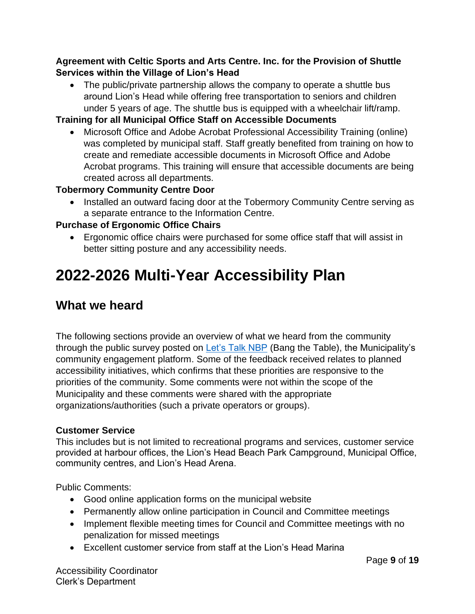#### **Agreement with Celtic Sports and Arts Centre. Inc. for the Provision of Shuttle Services within the Village of Lion's Head**

• The public/private partnership allows the company to operate a shuttle bus around Lion's Head while offering free transportation to seniors and children under 5 years of age. The shuttle bus is equipped with a wheelchair lift/ramp.

#### **Training for all Municipal Office Staff on Accessible Documents**

• Microsoft Office and Adobe Acrobat Professional Accessibility Training (online) was completed by municipal staff. Staff greatly benefited from training on how to create and remediate accessible documents in Microsoft Office and Adobe Acrobat programs. This training will ensure that accessible documents are being created across all departments.

#### **Tobermory Community Centre Door**

• Installed an outward facing door at the Tobermory Community Centre serving as a separate entrance to the Information Centre.

#### **Purchase of Ergonomic Office Chairs**

• Ergonomic office chairs were purchased for some office staff that will assist in better sitting posture and any accessibility needs.

## **2022-2026 Multi-Year Accessibility Plan**

### **What we heard**

The following sections provide an overview of what we heard from the community through the public survey posted on [Let's Talk NBP](https://letstalknbp.ca/) (Bang the Table), the Municipality's community engagement platform. Some of the feedback received relates to planned accessibility initiatives, which confirms that these priorities are responsive to the priorities of the community. Some comments were not within the scope of the Municipality and these comments were shared with the appropriate organizations/authorities (such a private operators or groups).

#### **Customer Service**

This includes but is not limited to recreational programs and services, customer service provided at harbour offices, the Lion's Head Beach Park Campground, Municipal Office, community centres, and Lion's Head Arena.

Public Comments:

- Good online application forms on the municipal website
- Permanently allow online participation in Council and Committee meetings
- Implement flexible meeting times for Council and Committee meetings with no penalization for missed meetings
- Excellent customer service from staff at the Lion's Head Marina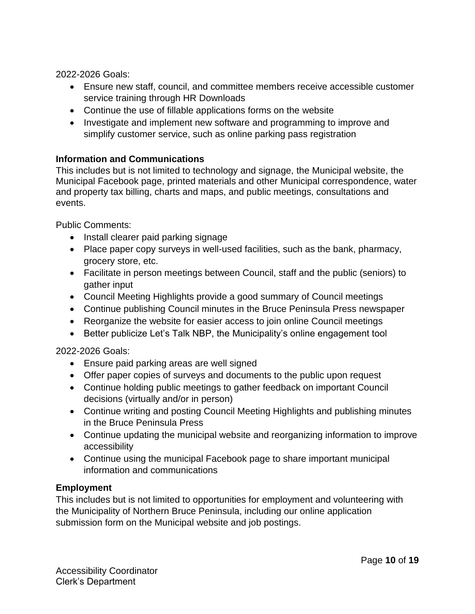2022-2026 Goals:

- Ensure new staff, council, and committee members receive accessible customer service training through HR Downloads
- Continue the use of fillable applications forms on the website
- Investigate and implement new software and programming to improve and simplify customer service, such as online parking pass registration

#### **Information and Communications**

This includes but is not limited to technology and signage, the Municipal website, the Municipal Facebook page, printed materials and other Municipal correspondence, water and property tax billing, charts and maps, and public meetings, consultations and events.

Public Comments:

- Install clearer paid parking signage
- Place paper copy surveys in well-used facilities, such as the bank, pharmacy, grocery store, etc.
- Facilitate in person meetings between Council, staff and the public (seniors) to gather input
- Council Meeting Highlights provide a good summary of Council meetings
- Continue publishing Council minutes in the Bruce Peninsula Press newspaper
- Reorganize the website for easier access to join online Council meetings
- Better publicize Let's Talk NBP, the Municipality's online engagement tool

2022-2026 Goals:

- Ensure paid parking areas are well signed
- Offer paper copies of surveys and documents to the public upon request
- Continue holding public meetings to gather feedback on important Council decisions (virtually and/or in person)
- Continue writing and posting Council Meeting Highlights and publishing minutes in the Bruce Peninsula Press
- Continue updating the municipal website and reorganizing information to improve accessibility
- Continue using the municipal Facebook page to share important municipal information and communications

#### **Employment**

This includes but is not limited to opportunities for employment and volunteering with the Municipality of Northern Bruce Peninsula, including our online application submission form on the Municipal website and job postings.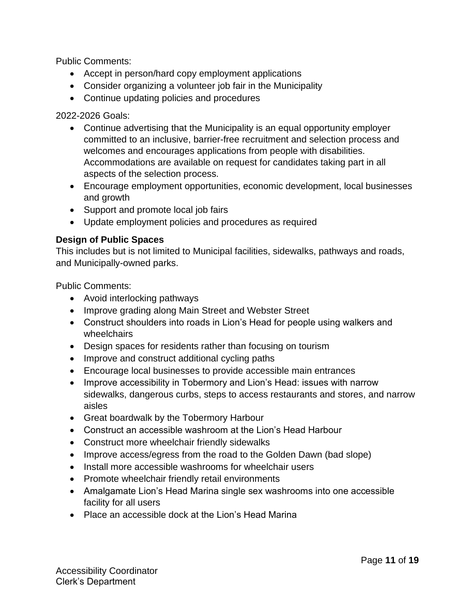Public Comments:

- Accept in person/hard copy employment applications
- Consider organizing a volunteer job fair in the Municipality
- Continue updating policies and procedures

2022-2026 Goals:

- Continue advertising that the Municipality is an equal opportunity employer committed to an inclusive, barrier-free recruitment and selection process and welcomes and encourages applications from people with disabilities. Accommodations are available on request for candidates taking part in all aspects of the selection process.
- Encourage employment opportunities, economic development, local businesses and growth
- Support and promote local job fairs
- Update employment policies and procedures as required

#### **Design of Public Spaces**

This includes but is not limited to Municipal facilities, sidewalks, pathways and roads, and Municipally-owned parks.

Public Comments:

- Avoid interlocking pathways
- Improve grading along Main Street and Webster Street
- Construct shoulders into roads in Lion's Head for people using walkers and wheelchairs
- Design spaces for residents rather than focusing on tourism
- Improve and construct additional cycling paths
- Encourage local businesses to provide accessible main entrances
- Improve accessibility in Tobermory and Lion's Head: issues with narrow sidewalks, dangerous curbs, steps to access restaurants and stores, and narrow aisles
- Great boardwalk by the Tobermory Harbour
- Construct an accessible washroom at the Lion's Head Harbour
- Construct more wheelchair friendly sidewalks
- Improve access/egress from the road to the Golden Dawn (bad slope)
- Install more accessible washrooms for wheelchair users
- Promote wheelchair friendly retail environments
- Amalgamate Lion's Head Marina single sex washrooms into one accessible facility for all users
- Place an accessible dock at the Lion's Head Marina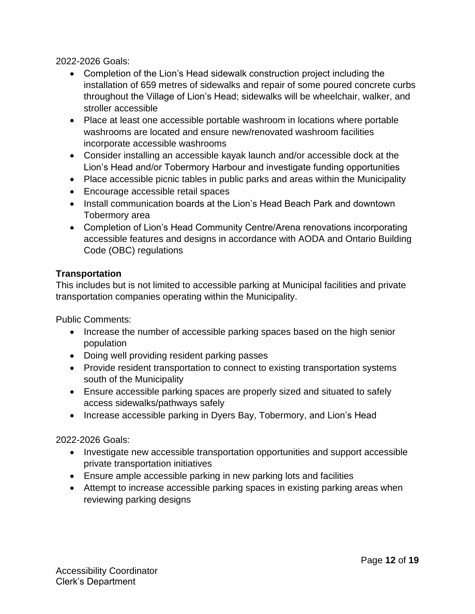2022-2026 Goals:

- Completion of the Lion's Head sidewalk construction project including the installation of 659 metres of sidewalks and repair of some poured concrete curbs throughout the Village of Lion's Head; sidewalks will be wheelchair, walker, and stroller accessible
- Place at least one accessible portable washroom in locations where portable washrooms are located and ensure new/renovated washroom facilities incorporate accessible washrooms
- Consider installing an accessible kayak launch and/or accessible dock at the Lion's Head and/or Tobermory Harbour and investigate funding opportunities
- Place accessible picnic tables in public parks and areas within the Municipality
- Encourage accessible retail spaces
- Install communication boards at the Lion's Head Beach Park and downtown Tobermory area
- Completion of Lion's Head Community Centre/Arena renovations incorporating accessible features and designs in accordance with AODA and Ontario Building Code (OBC) regulations

#### **Transportation**

This includes but is not limited to accessible parking at Municipal facilities and private transportation companies operating within the Municipality.

Public Comments:

- Increase the number of accessible parking spaces based on the high senior population
- Doing well providing resident parking passes
- Provide resident transportation to connect to existing transportation systems south of the Municipality
- Ensure accessible parking spaces are properly sized and situated to safely access sidewalks/pathways safely
- Increase accessible parking in Dyers Bay, Tobermory, and Lion's Head

2022-2026 Goals:

- Investigate new accessible transportation opportunities and support accessible private transportation initiatives
- Ensure ample accessible parking in new parking lots and facilities
- Attempt to increase accessible parking spaces in existing parking areas when reviewing parking designs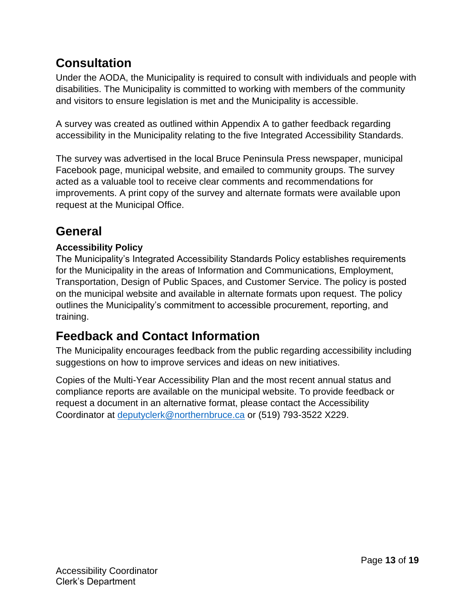## **Consultation**

Under the AODA, the Municipality is required to consult with individuals and people with disabilities. The Municipality is committed to working with members of the community and visitors to ensure legislation is met and the Municipality is accessible.

A survey was created as outlined within Appendix A to gather feedback regarding accessibility in the Municipality relating to the five Integrated Accessibility Standards.

The survey was advertised in the local Bruce Peninsula Press newspaper, municipal Facebook page, municipal website, and emailed to community groups. The survey acted as a valuable tool to receive clear comments and recommendations for improvements. A print copy of the survey and alternate formats were available upon request at the Municipal Office.

## **General**

#### **Accessibility Policy**

The Municipality's Integrated Accessibility Standards Policy establishes requirements for the Municipality in the areas of Information and Communications, Employment, Transportation, Design of Public Spaces, and Customer Service. The policy is posted on the municipal website and available in alternate formats upon request. The policy outlines the Municipality's commitment to accessible procurement, reporting, and training.

## **Feedback and Contact Information**

The Municipality encourages feedback from the public regarding accessibility including suggestions on how to improve services and ideas on new initiatives.

Copies of the Multi-Year Accessibility Plan and the most recent annual status and compliance reports are available on the municipal website. To provide feedback or request a document in an alternative format, please contact the Accessibility Coordinator at [deputyclerk@northernbruce.ca](mailto:deputyclerk@northernbruce.ca) or (519) 793-3522 X229.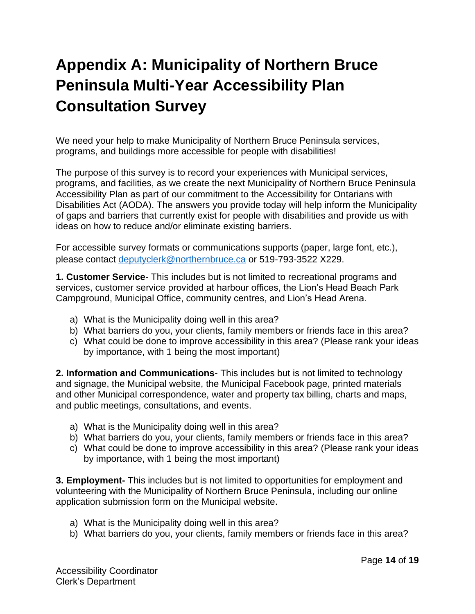## **Appendix A: Municipality of Northern Bruce Peninsula Multi-Year Accessibility Plan Consultation Survey**

We need your help to make Municipality of Northern Bruce Peninsula services, programs, and buildings more accessible for people with disabilities!

The purpose of this survey is to record your experiences with Municipal services, programs, and facilities, as we create the next Municipality of Northern Bruce Peninsula Accessibility Plan as part of our commitment to the Accessibility for Ontarians with Disabilities Act (AODA). The answers you provide today will help inform the Municipality of gaps and barriers that currently exist for people with disabilities and provide us with ideas on how to reduce and/or eliminate existing barriers.

For accessible survey formats or communications supports (paper, large font, etc.), please contact [deputyclerk@northernbruce.ca](mailto:deputyclerk@northernbruce.ca) or 519-793-3522 X229.

**1. Customer Service**- This includes but is not limited to recreational programs and services, customer service provided at harbour offices, the Lion's Head Beach Park Campground, Municipal Office, community centres, and Lion's Head Arena.

- a) What is the Municipality doing well in this area?
- b) What barriers do you, your clients, family members or friends face in this area?
- c) What could be done to improve accessibility in this area? (Please rank your ideas by importance, with 1 being the most important)

**2. Information and Communications**- This includes but is not limited to technology and signage, the Municipal website, the Municipal Facebook page, printed materials and other Municipal correspondence, water and property tax billing, charts and maps, and public meetings, consultations, and events.

- a) What is the Municipality doing well in this area?
- b) What barriers do you, your clients, family members or friends face in this area?
- c) What could be done to improve accessibility in this area? (Please rank your ideas by importance, with 1 being the most important)

**3. Employment-** This includes but is not limited to opportunities for employment and volunteering with the Municipality of Northern Bruce Peninsula, including our online application submission form on the Municipal website.

- a) What is the Municipality doing well in this area?
- b) What barriers do you, your clients, family members or friends face in this area?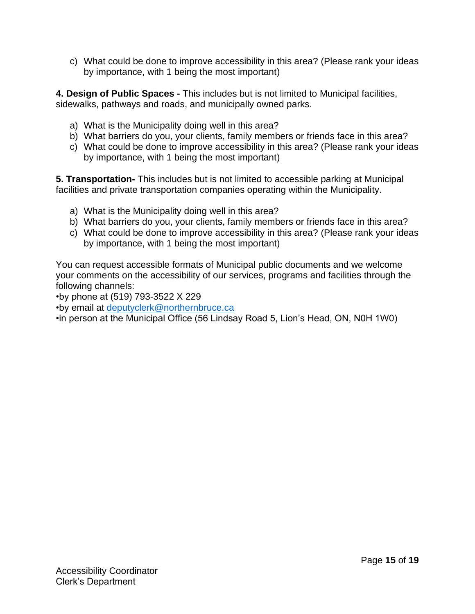c) What could be done to improve accessibility in this area? (Please rank your ideas by importance, with 1 being the most important)

**4. Design of Public Spaces -** This includes but is not limited to Municipal facilities, sidewalks, pathways and roads, and municipally owned parks.

- a) What is the Municipality doing well in this area?
- b) What barriers do you, your clients, family members or friends face in this area?
- c) What could be done to improve accessibility in this area? (Please rank your ideas by importance, with 1 being the most important)

**5. Transportation-** This includes but is not limited to accessible parking at Municipal facilities and private transportation companies operating within the Municipality.

- a) What is the Municipality doing well in this area?
- b) What barriers do you, your clients, family members or friends face in this area?
- c) What could be done to improve accessibility in this area? (Please rank your ideas by importance, with 1 being the most important)

You can request accessible formats of Municipal public documents and we welcome your comments on the accessibility of our services, programs and facilities through the following channels:

•by phone at (519) 793-3522 X 229

•by email at [deputyclerk@northernbruce.ca](mailto:deputyclerk@northernbruce.ca)

•in person at the Municipal Office (56 Lindsay Road 5, Lion's Head, ON, N0H 1W0)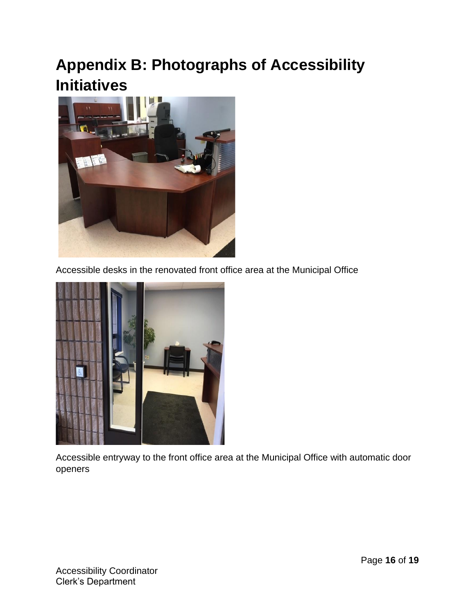## **Appendix B: Photographs of Accessibility Initiatives**



Accessible desks in the renovated front office area at the Municipal Office



Accessible entryway to the front office area at the Municipal Office with automatic door openers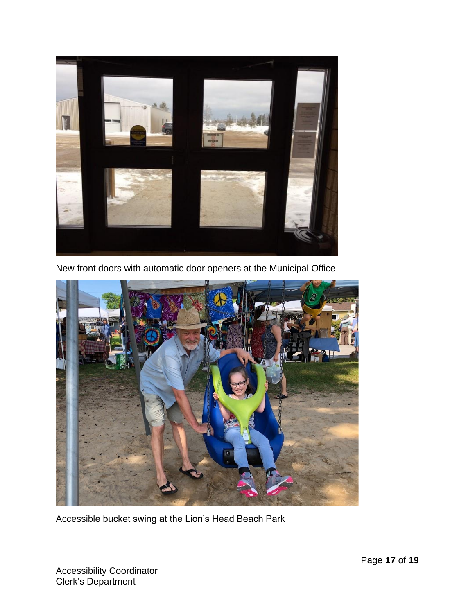

New front doors with automatic door openers at the Municipal Office



Accessible bucket swing at the Lion's Head Beach Park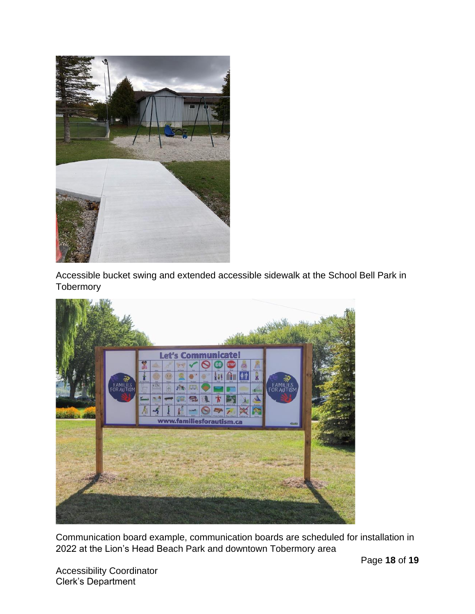

Accessible bucket swing and extended accessible sidewalk at the School Bell Park in **Tobermory** 



Communication board example, communication boards are scheduled for installation in 2022 at the Lion's Head Beach Park and downtown Tobermory area